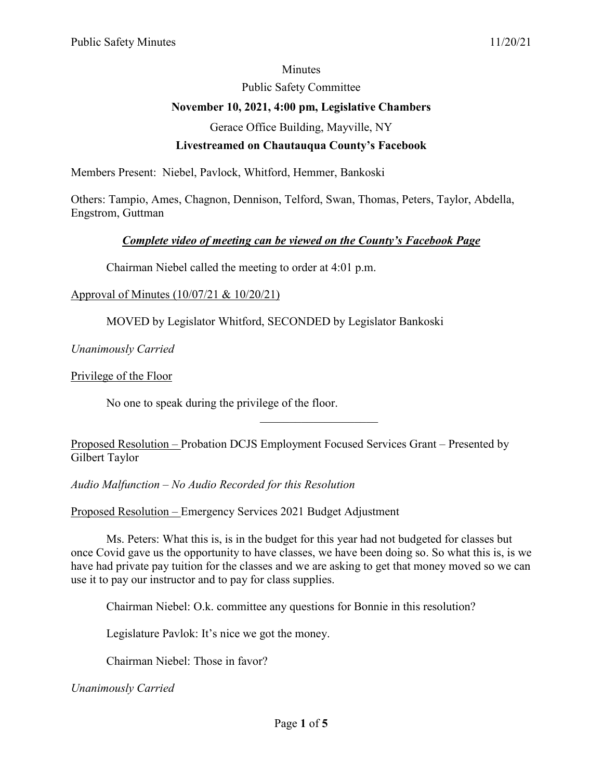#### **Minutes**

Public Safety Committee

# **November 10, 2021, 4:00 pm, Legislative Chambers**

Gerace Office Building, Mayville, NY

## **Livestreamed on Chautauqua County's Facebook**

Members Present: Niebel, Pavlock, Whitford, Hemmer, Bankoski

Others: Tampio, Ames, Chagnon, Dennison, Telford, Swan, Thomas, Peters, Taylor, Abdella, Engstrom, Guttman

## *Complete video of meeting can be viewed on the County's Facebook Page*

Chairman Niebel called the meeting to order at 4:01 p.m.

#### Approval of Minutes (10/07/21 & 10/20/21)

MOVED by Legislator Whitford, SECONDED by Legislator Bankoski

*Unanimously Carried*

Privilege of the Floor

No one to speak during the privilege of the floor.

Proposed Resolution – Probation DCJS Employment Focused Services Grant – Presented by Gilbert Taylor

 $\overline{\phantom{a}}$  . The set of the set of the set of the set of the set of the set of the set of the set of the set of the set of the set of the set of the set of the set of the set of the set of the set of the set of the set o

*Audio Malfunction – No Audio Recorded for this Resolution*

Proposed Resolution – Emergency Services 2021 Budget Adjustment

Ms. Peters: What this is, is in the budget for this year had not budgeted for classes but once Covid gave us the opportunity to have classes, we have been doing so. So what this is, is we have had private pay tuition for the classes and we are asking to get that money moved so we can use it to pay our instructor and to pay for class supplies.

Chairman Niebel: O.k. committee any questions for Bonnie in this resolution?

Legislature Pavlok: It's nice we got the money.

Chairman Niebel: Those in favor?

*Unanimously Carried*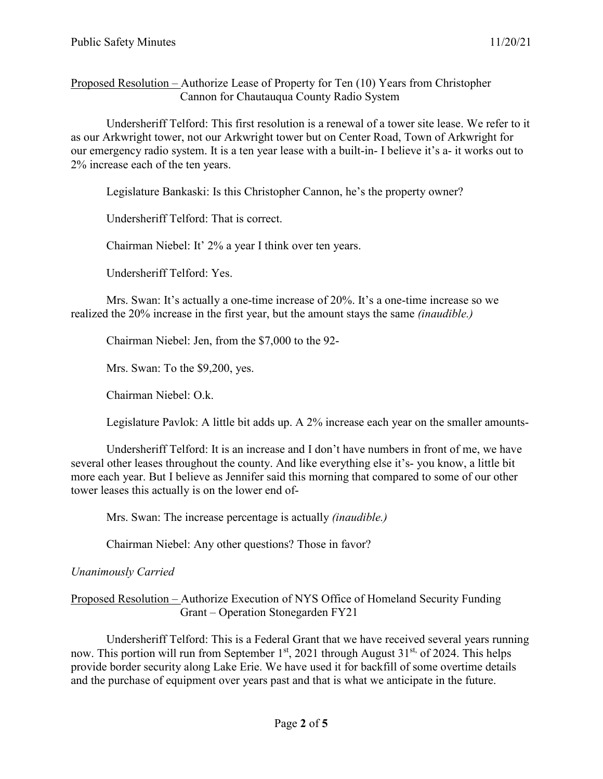Proposed Resolution – Authorize Lease of Property for Ten (10) Years from Christopher Cannon for Chautauqua County Radio System

Undersheriff Telford: This first resolution is a renewal of a tower site lease. We refer to it as our Arkwright tower, not our Arkwright tower but on Center Road, Town of Arkwright for our emergency radio system. It is a ten year lease with a built-in- I believe it's a- it works out to 2% increase each of the ten years.

Legislature Bankaski: Is this Christopher Cannon, he's the property owner?

Undersheriff Telford: That is correct.

Chairman Niebel: It' 2% a year I think over ten years.

Undersheriff Telford: Yes.

Mrs. Swan: It's actually a one-time increase of 20%. It's a one-time increase so we realized the 20% increase in the first year, but the amount stays the same *(inaudible.)*

Chairman Niebel: Jen, from the \$7,000 to the 92-

Mrs. Swan: To the \$9,200, yes.

Chairman Niebel: O.k.

Legislature Pavlok: A little bit adds up. A 2% increase each year on the smaller amounts-

Undersheriff Telford: It is an increase and I don't have numbers in front of me, we have several other leases throughout the county. And like everything else it's- you know, a little bit more each year. But I believe as Jennifer said this morning that compared to some of our other tower leases this actually is on the lower end of-

Mrs. Swan: The increase percentage is actually *(inaudible.)*

Chairman Niebel: Any other questions? Those in favor?

## *Unanimously Carried*

## Proposed Resolution – Authorize Execution of NYS Office of Homeland Security Funding Grant – Operation Stonegarden FY21

Undersheriff Telford: This is a Federal Grant that we have received several years running now. This portion will run from September 1<sup>st</sup>, 2021 through August 31<sup>st,</sup> of 2024. This helps provide border security along Lake Erie. We have used it for backfill of some overtime details and the purchase of equipment over years past and that is what we anticipate in the future.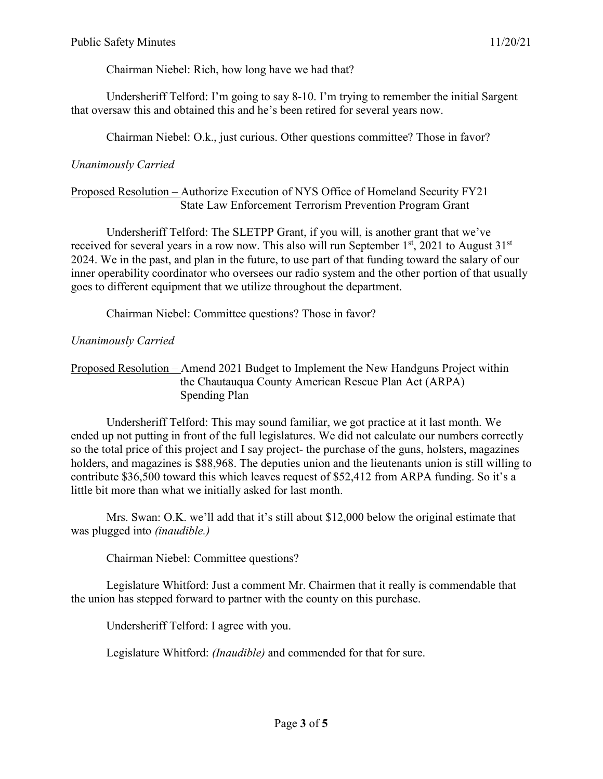Chairman Niebel: Rich, how long have we had that?

Undersheriff Telford: I'm going to say 8-10. I'm trying to remember the initial Sargent that oversaw this and obtained this and he's been retired for several years now.

Chairman Niebel: O.k., just curious. Other questions committee? Those in favor?

## *Unanimously Carried*

#### Proposed Resolution – Authorize Execution of NYS Office of Homeland Security FY21 State Law Enforcement Terrorism Prevention Program Grant

Undersheriff Telford: The SLETPP Grant, if you will, is another grant that we've received for several years in a row now. This also will run September  $1<sup>st</sup>$ , 2021 to August  $31<sup>st</sup>$ 2024. We in the past, and plan in the future, to use part of that funding toward the salary of our inner operability coordinator who oversees our radio system and the other portion of that usually goes to different equipment that we utilize throughout the department.

Chairman Niebel: Committee questions? Those in favor?

## *Unanimously Carried*

## Proposed Resolution – Amend 2021 Budget to Implement the New Handguns Project within the Chautauqua County American Rescue Plan Act (ARPA) Spending Plan

Undersheriff Telford: This may sound familiar, we got practice at it last month. We ended up not putting in front of the full legislatures. We did not calculate our numbers correctly so the total price of this project and I say project- the purchase of the guns, holsters, magazines holders, and magazines is \$88,968. The deputies union and the lieutenants union is still willing to contribute \$36,500 toward this which leaves request of \$52,412 from ARPA funding. So it's a little bit more than what we initially asked for last month.

Mrs. Swan: O.K. we'll add that it's still about \$12,000 below the original estimate that was plugged into *(inaudible.)*

Chairman Niebel: Committee questions?

Legislature Whitford: Just a comment Mr. Chairmen that it really is commendable that the union has stepped forward to partner with the county on this purchase.

Undersheriff Telford: I agree with you.

Legislature Whitford: *(Inaudible)* and commended for that for sure.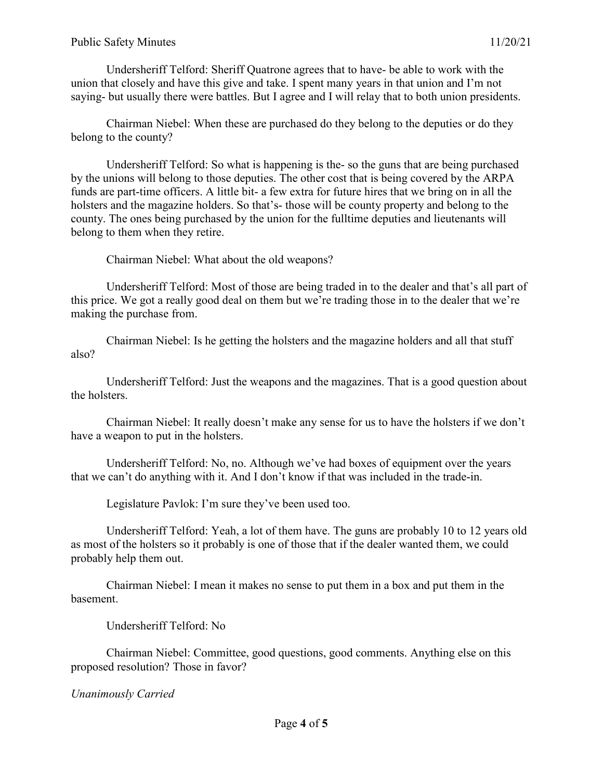#### Public Safety Minutes 11/20/21

Undersheriff Telford: Sheriff Quatrone agrees that to have- be able to work with the union that closely and have this give and take. I spent many years in that union and I'm not saying- but usually there were battles. But I agree and I will relay that to both union presidents.

Chairman Niebel: When these are purchased do they belong to the deputies or do they belong to the county?

Undersheriff Telford: So what is happening is the- so the guns that are being purchased by the unions will belong to those deputies. The other cost that is being covered by the ARPA funds are part-time officers. A little bit- a few extra for future hires that we bring on in all the holsters and the magazine holders. So that's- those will be county property and belong to the county. The ones being purchased by the union for the fulltime deputies and lieutenants will belong to them when they retire.

Chairman Niebel: What about the old weapons?

Undersheriff Telford: Most of those are being traded in to the dealer and that's all part of this price. We got a really good deal on them but we're trading those in to the dealer that we're making the purchase from.

Chairman Niebel: Is he getting the holsters and the magazine holders and all that stuff also?

Undersheriff Telford: Just the weapons and the magazines. That is a good question about the holsters.

Chairman Niebel: It really doesn't make any sense for us to have the holsters if we don't have a weapon to put in the holsters.

Undersheriff Telford: No, no. Although we've had boxes of equipment over the years that we can't do anything with it. And I don't know if that was included in the trade-in.

Legislature Pavlok: I'm sure they've been used too.

Undersheriff Telford: Yeah, a lot of them have. The guns are probably 10 to 12 years old as most of the holsters so it probably is one of those that if the dealer wanted them, we could probably help them out.

Chairman Niebel: I mean it makes no sense to put them in a box and put them in the basement.

Undersheriff Telford: No

Chairman Niebel: Committee, good questions, good comments. Anything else on this proposed resolution? Those in favor?

*Unanimously Carried*